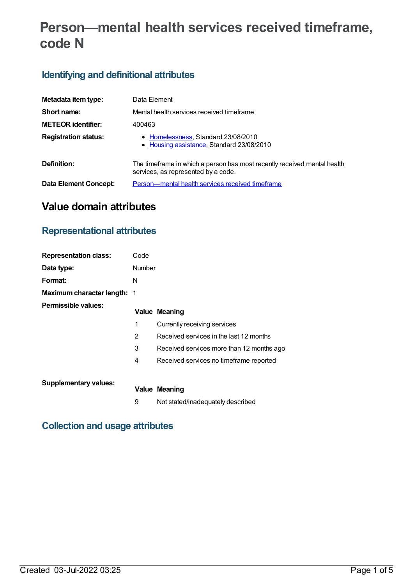# **Person—mental health services received timeframe, code N**

### **Identifying and definitional attributes**

| Metadata item type:         | Data Element                                                                                                    |  |  |
|-----------------------------|-----------------------------------------------------------------------------------------------------------------|--|--|
| Short name:                 | Mental health services received timeframe                                                                       |  |  |
| <b>METEOR</b> identifier:   | 400463                                                                                                          |  |  |
| <b>Registration status:</b> | • Homelessness, Standard 23/08/2010<br>• Housing assistance, Standard 23/08/2010                                |  |  |
| Definition:                 | The timeframe in which a person has most recently received mental health<br>services, as represented by a code. |  |  |
| Data Element Concept:       | Person—mental health services received timeframe                                                                |  |  |

# **Value domain attributes**

### **Representational attributes**

| <b>Representation class:</b>       | Code   |                                           |
|------------------------------------|--------|-------------------------------------------|
| Data type:                         | Number |                                           |
| Format:                            | N      |                                           |
| <b>Maximum character length: 1</b> |        |                                           |
| <b>Permissible values:</b>         |        | <b>Value Meaning</b>                      |
|                                    | 1      | Currently receiving services              |
|                                    | 2      | Received services in the last 12 months   |
|                                    | 3      | Received services more than 12 months ago |
|                                    | 4      | Received services no timeframe reported   |
|                                    |        |                                           |
| <b>Supplementary values:</b>       |        | <b>Value Meaning</b>                      |
|                                    | 9      | Not stated/inadequately described         |

### **Collection and usage attributes**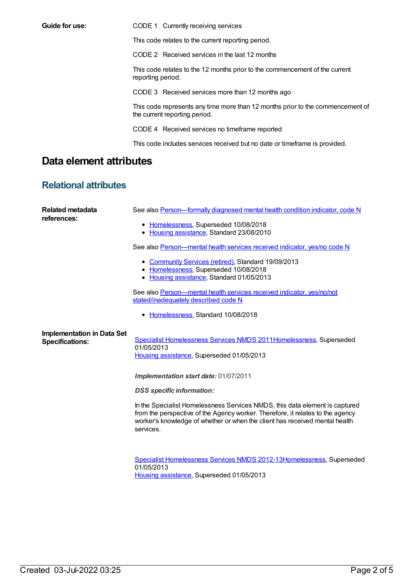**Guide for use:** CODE 1 Currently receiving services

This code relates to the current reporting period.

CODE 2 Received services in the last 12 months

This code relates to the 12 months prior to the commencement of the current reporting period.

CODE 3 Received services more than 12 months ago

This code represents any time more than 12 months prior to the commencement of the current reporting period.

CODE 4 Received services no timeframe reported

This code includes services received but no date or timeframe is provided.

## **Data element attributes**

### **Relational attributes**

| Related metadata<br>references:                             | See also Person-formally diagnosed mental health condition indicator, code N<br>• Homelessness, Superseded 10/08/2018<br>Housing assistance, Standard 23/08/2010<br>See also Person-mental health services received indicator, yes/no code N<br>• Community Services (retired), Standard 19/09/2013<br>• Homelessness, Superseded 10/08/2018 |
|-------------------------------------------------------------|----------------------------------------------------------------------------------------------------------------------------------------------------------------------------------------------------------------------------------------------------------------------------------------------------------------------------------------------|
|                                                             | • Housing assistance, Standard 01/05/2013<br>See also Person—mental health services received indicator, yes/no/not<br>stated/inadequately described code N<br>Homelessness, Standard 10/08/2018<br>٠                                                                                                                                         |
| <b>Implementation in Data Set</b><br><b>Specifications:</b> | Specialist Homelessness Services NMDS 2011Homelessness, Superseded<br>01/05/2013<br>Housing assistance, Superseded 01/05/2013                                                                                                                                                                                                                |
|                                                             | Implementation start date: 01/07/2011                                                                                                                                                                                                                                                                                                        |
|                                                             | <b>DSS</b> specific information:                                                                                                                                                                                                                                                                                                             |
|                                                             | In the Specialist Homelessness Services NMDS, this data element is captured<br>from the perspective of the Agency worker. Therefore, it relates to the agency<br>worker's knowledge of whether or when the client has received mental health<br>services.                                                                                    |
|                                                             | Specialist Homelessness Services NMDS 2012-13Homelessness, Superseded<br>01/05/2013<br>Housing assistance, Superseded 01/05/2013                                                                                                                                                                                                             |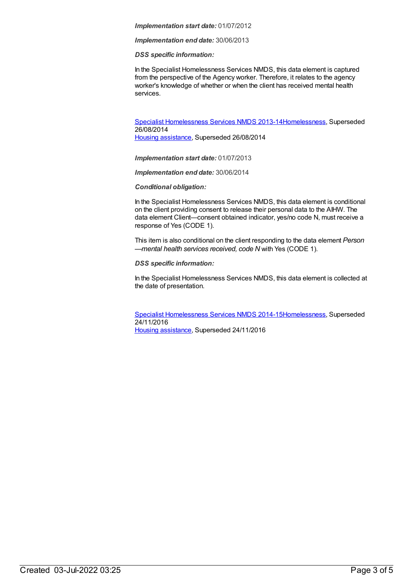#### *Implementation start date:* 01/07/2012

*Implementation end date:* 30/06/2013

*DSS specific information:*

In the Specialist Homelessness Services NMDS, this data element is captured from the perspective of the Agency worker. Therefore, it relates to the agency worker's knowledge of whether or when the client has received mental health services.

Specialist [Homelessness](https://meteor.aihw.gov.au/content/505626) Services NMDS 2013-1[4Homelessness](https://meteor.aihw.gov.au/RegistrationAuthority/14), Superseded 26/08/2014

Housing [assistance](https://meteor.aihw.gov.au/RegistrationAuthority/11), Superseded 26/08/2014

*Implementation start date:* 01/07/2013

*Implementation end date:* 30/06/2014

*Conditional obligation:*

In the Specialist Homelessness Services NMDS, this data element is conditional on the client providing consent to release their personal data to the AIHW. The data element Client—consent obtained indicator, yes/no code N, must receive a response of Yes (CODE 1).

This item is also conditional on the client responding to the data element *Person —mental health services received, code N* with Yes (CODE 1).

*DSS specific information:*

In the Specialist Homelessness Services NMDS, this data element is collected at the date of presentation.

Specialist [Homelessness](https://meteor.aihw.gov.au/content/581255) Services NMDS 2014-1[5Homelessness](https://meteor.aihw.gov.au/RegistrationAuthority/14), Superseded 24/11/2016 Housing [assistance](https://meteor.aihw.gov.au/RegistrationAuthority/11), Superseded 24/11/2016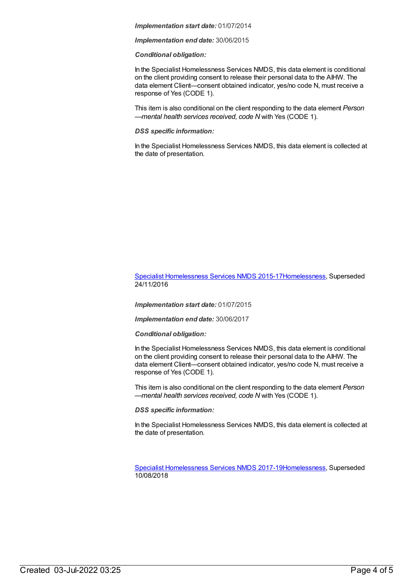#### *Implementation start date:* 01/07/2014

*Implementation end date:* 30/06/2015

#### *Conditional obligation:*

In the Specialist Homelessness Services NMDS, this data element is conditional on the client providing consent to release their personal data to the AIHW. The data element Client—consent obtained indicator, yes/no code N, must receive a response of Yes (CODE 1).

This item is also conditional on the client responding to the data element *Person —mental health services received, code N* with Yes (CODE 1).

#### *DSS specific information:*

In the Specialist Homelessness Services NMDS, this data element is collected at the date of presentation.

#### Specialist [Homelessness](https://meteor.aihw.gov.au/content/658005) Services NMDS 2015-1[7Homelessness](https://meteor.aihw.gov.au/RegistrationAuthority/14), Superseded 24/11/2016

*Implementation start date:* 01/07/2015

*Implementation end date:* 30/06/2017

*Conditional obligation:*

In the Specialist Homelessness Services NMDS, this data element is conditional on the client providing consent to release their personal data to the AIHW. The data element Client—consent obtained indicator, yes/no code N, must receive a response of Yes (CODE 1).

This item is also conditional on the client responding to the data element *Person —mental health services received, code N* with Yes (CODE 1).

*DSS specific information:*

In the Specialist Homelessness Services NMDS, this data element is collected at the date of presentation.

Specialist [Homelessness](https://meteor.aihw.gov.au/content/650006) Services NMDS 2017-1[9Homelessness](https://meteor.aihw.gov.au/RegistrationAuthority/14), Superseded 10/08/2018